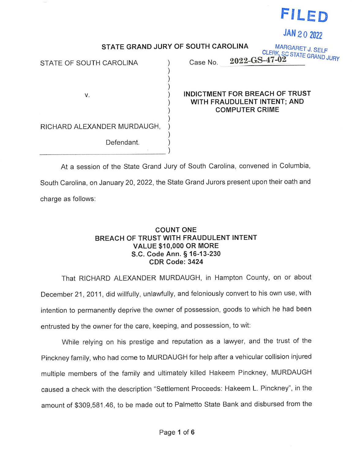

JAN 20 2022

STATE GRAND JURY OF SOUTH CAROLINA

 $\overline{)}$ ) )

) )

)

STATE GRAND JURY OF SOUTH CAROLINA MARGARET J. SELF<br>STATE OF SOUTH CAROLINA ) Case No. 2022-GS-47-02

v.

) INDICTMENT FOR BREACH OF TRUST ) WITH FRAUDULENT INTENT; AND COMPUTER CRIME

RICHARD ALEXANDER MURDAUGH, )

Defendant.

At <sup>a</sup> session of the State Grand Jury of South Carolina, convened in Columbia South Carolina, on January 20, 2022, the State Grand Jurors present upon their oath and charge as follows:

## COUNT ONE BREACH OF TRUST WITH FRAUDULENT INTENT VALUE \$10,000 OR MORE S.C. Code Ann. § 16-13-230 CDR Code: 3424

That RICHARD ALEXANDER MURDAUGH, in Hampton County, on or about December 21, 2011, did willfully, unlawfully, and feloniously convert to his own use, with intention to permanently deprive the owner of possession, goods to which he had been entrusted by the owner for the care, keeping, and possession, to wit:

While relying on his prestige and reputation as <sup>a</sup> lawyer, and the trust of the Pinckney family, who had come to MURDAUGH for help after <sup>a</sup> vehicular collision injured multiple members of the family and ultimately killed Hakeem Pinckney, MURDAUGH caused <sup>a</sup> check with the description "Settlement Proceeds: Hakeem L. Pinckney", in the amount of \$309,581.46, to be made out to Palmetto State Bank and disbursed from the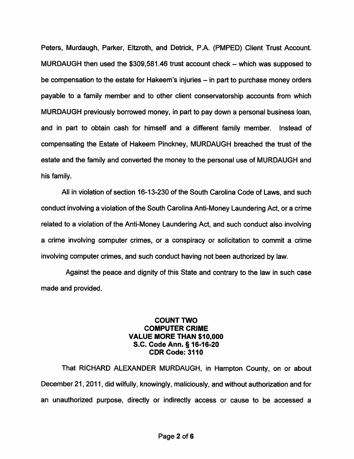Peters, Murdaugh, Parker, Eltzroth, and Detrick, P.A. (PMPED) Client Trust Account. MURDAUGH then used the  $$309,581.46$  trust account check  $-$  which was supposed to be compensation to the estate for Hakeem's injuries – in part to purchase money orders payable to a family member and to other client conservatorship accounts from which MURDAUGH previously borrowed money, in part to pay down a personal business loan, and in part to obtain cash for himself and a different family member. Instead of compensating the Estate of Hakeem Pinckney, MURDAUGH breached the trust of the estate and the family and converted the money to the personal use of MURDAUGH and his family.

All in violation of section 16-13-230 of the South Carolina Code of Laws, and such conduct involving a violation of the South Carolina Anti-Money Laundering Act, or a crime related to a violation of the Anti-Money Laundering Act, and such conduct also involving a crime involving computer crimes, or a conspiracy or solicitation to commit a crime involving computer crimes, and such conduct having not been authorized by law.

Against the peace and dignity of this State and contrary to the law in such case made and provided.

## COUNT TWO COMPUTER CRIME VALUE MORE THAN \$10,000 S.C. Code Ann. § 16-16-20 CDR Code: 3110

That RICHARD ALEXANDER MURDAUGH, in Hampton County, on or about December 21, 2011, did wilfully, knowingly, maliciously, and without authorization and for an unauthorized purpose, directly or indirectly access or cause to be accessed a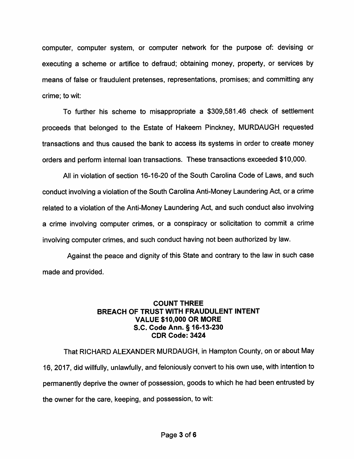computer, computer system, or computer network for the purpose of: devising or executing <sup>a</sup> scheme or artifice to defraud; obtaining money, property, or services by means of false or fraudulent pretenses, representations, promises; and committing any crime; to wit:

To further his scheme to misappropriate <sup>a</sup> \$309,581.46 check of settlement proceeds that belonged to the Estate of Hakeem Pinckney, MURDAUGH requested transactions and thus caused the bank to access its systems in order to create money orders and perform internal loan transactions. These transactions exceeded \$10,000.

All in violation of section 16-16-20 of the South Carolina Code of Laws, and such conduct involving <sup>a</sup> violation of the South Carolina Anti-Money Laundering Act, or <sup>a</sup> crime related to <sup>a</sup> violation of the Anti-Money Laundering Act, and such conduct also involving <sup>a</sup> crime involving computer crimes, or <sup>a</sup> conspiracy or solicitation to commit <sup>a</sup> crime involving computer crimes, and such conduct having not been authorized by law.

Against the peace and dignity of this State and contrary to the law in such case made and provided.

## COUNT THREE BREACH OF TRUST WITH FRAUDULENT INTENT VALUE \$10,000 OR MORE S.C. Code Ann. § 16-13-230 CDR Code: 3424

That RICHARD ALEXANDER MURDAUGH, in Hampton County, on or about May 16, 2017, did willfully, unlawfully, and feloniously convert to his own use, with intention to permanently deprive the owner of possession, goods to which he had been entrusted by the owner for the care, keeping, and possession, to wit: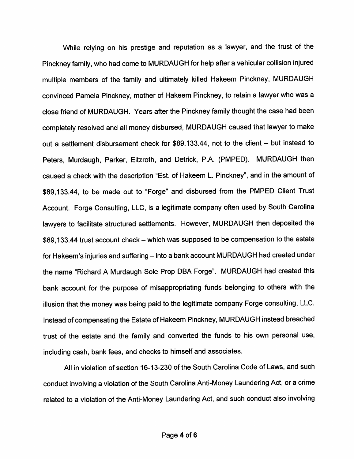While relying on his prestige and reputation as <sup>a</sup> lawyer, and the trust of the Pinckney family, who had come to MURDAUGH for help after <sup>a</sup> vehicular collision injured multiple members of the family and ultimately killed Hakeem Pinckney, MURDAUGH convinced Pamela Pinckney, mother of Hakeem Pinckney, to retain <sup>a</sup> lawyer who was <sup>a</sup> close friend of MURDAUGH. Years after the Pinckney family thought the case had been completely resolved and all money disbursed, MURDAUGH caused that lawyer to make out a settlement disbursement check for \$89,133.44, not to the client  $-$  but instead to Peters, Murdaugh, Parker, Eltzroth, and Detrick, P.A. (PMPED). MURDAUGH then caused <sup>a</sup> check with the description "Est. of Hakeem L. Pinckney", and in the amount of \$89,133.44, to be made out to "Forge" and disbursed from the PMPED Client Trust Account. Forge Consulting, LLC, is <sup>a</sup> legitimate company often used by South Carolina lawyers to facilitate structured settlements. However, MURDAUGH then deposited the \$89,133.44 trust account check – which was supposed to be compensation to the estate for Hakeem's injuries and suffering - into a bank account MURDAUGH had created under the name "Richard <sup>A</sup> Murdaugh Sole Prop DBA Forge". MURDAUGH had created this bank account for the purpose of misappropriating funds belonging to others with the illusion that the money was being paid to the legitimate company Forge consulting, LLC. Instead of compensating the Estate of Hakeem Pinckney, MURDAUGH instead breached trust of the estate and the family and converted the funds to his own personal use, including cash, bank fees, and checks to himself and associates.

All in violation of section 16-13-230 of the South Carolina Code of Laws, and such conduct involving <sup>a</sup> violation of the South Carolina Anti-Money Laundering Act, or <sup>a</sup> crime related to <sup>a</sup> violation of the Anti-Money Laundering Act, and such conduct also involving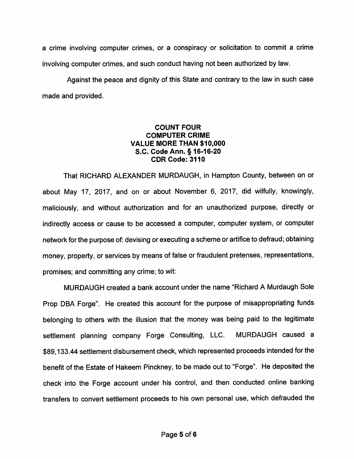<sup>a</sup> crime involving computer crimes, or <sup>a</sup> conspiracy or solicitation to commit <sup>a</sup> crime involving computer crimes, and such conduct having not been authorized by law.

Against the peace and dignity of this State and contrary to the law in such case made and provided.

## COUNT FOUR COMPUTER CRIME VALUE MORE THAN \$10,000 S.C. Code Ann. § 16-16-20 CDR Code: 3110

That RICHARD ALEXANDER MURDAUGH, in Hampton County, between on or about May 17, 2017, and on or about November 6, 2017, did wilfully, knowingly maliciously, and without authorization and for an unauthorized purpose, directly or indirectly access or cause to be accessed <sup>a</sup> computer, computer system, or computer network for the purpose of: devising or executing <sup>a</sup> scheme or artifice to defraud; obtaining money, property, or services by means of false or fraudulent pretenses, representations, promises; and committing any crime; to wit:

MURDAUGH created <sup>a</sup> bank account under the name "Richard A Murdaugh Sole Prop DBA Forge". He created this account for the purpose of misappropriating funds belonging to others with the illusion that the money was being paid to the legitimate settlement planning company Forge Consulting, LLC. MURDAUGH caused <sup>a</sup> \$89,133.44 settlement disbursement check, which represented proceeds intended for the benefit of the Estate of Hakeem Pinckney, to be made out to "Forge". He deposited the check into the Forge account under his control, and then conducted online banking transfers to convert settlement proceeds to his own personal use, which defrauded the